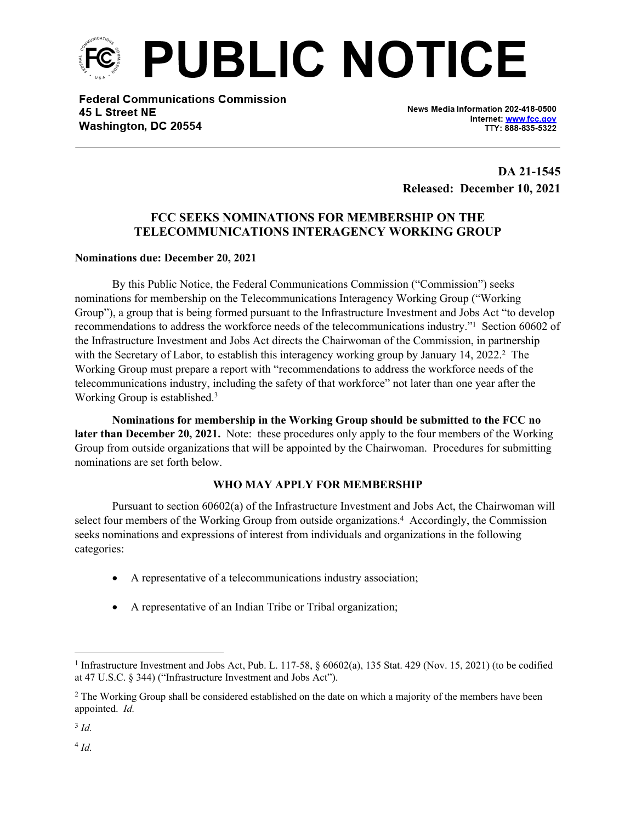

**Federal Communications Commission** 45 L Street NE Washington, DC 20554

News Media Information 202-418-0500 Internet: www.fcc.gov TTY: 888-835-5322

**DA 21-1545 Released: December 10, 2021**

# **FCC SEEKS NOMINATIONS FOR MEMBERSHIP ON THE TELECOMMUNICATIONS INTERAGENCY WORKING GROUP**

### **Nominations due: December 20, 2021**

By this Public Notice, the Federal Communications Commission ("Commission") seeks nominations for membership on the Telecommunications Interagency Working Group ("Working Group"), a group that is being formed pursuant to the Infrastructure Investment and Jobs Act "to develop recommendations to address the workforce needs of the telecommunications industry."<sup>1</sup> Section 60602 of the Infrastructure Investment and Jobs Act directs the Chairwoman of the Commission, in partnership with the Secretary of Labor, to establish this interagency working group by January 14, 2022.<sup>2</sup> The Working Group must prepare a report with "recommendations to address the workforce needs of the telecommunications industry, including the safety of that workforce" not later than one year after the Working Group is established.<sup>3</sup>

**Nominations for membership in the Working Group should be submitted to the FCC no later than December 20, 2021.** Note: these procedures only apply to the four members of the Working Group from outside organizations that will be appointed by the Chairwoman. Procedures for submitting nominations are set forth below.

### **WHO MAY APPLY FOR MEMBERSHIP**

Pursuant to section 60602(a) of the Infrastructure Investment and Jobs Act, the Chairwoman will select four members of the Working Group from outside organizations.<sup>4</sup> Accordingly, the Commission seeks nominations and expressions of interest from individuals and organizations in the following categories:

- A representative of a telecommunications industry association;
- A representative of an Indian Tribe or Tribal organization;

3 *Id.*

4  *Id.*

<sup>&</sup>lt;sup>1</sup> Infrastructure Investment and Jobs Act, Pub. L. 117-58,  $\S 60602(a)$ , 135 Stat. 429 (Nov. 15, 2021) (to be codified at 47 U.S.C. § 344) ("Infrastructure Investment and Jobs Act").

<sup>&</sup>lt;sup>2</sup> The Working Group shall be considered established on the date on which a majority of the members have been appointed. *Id.*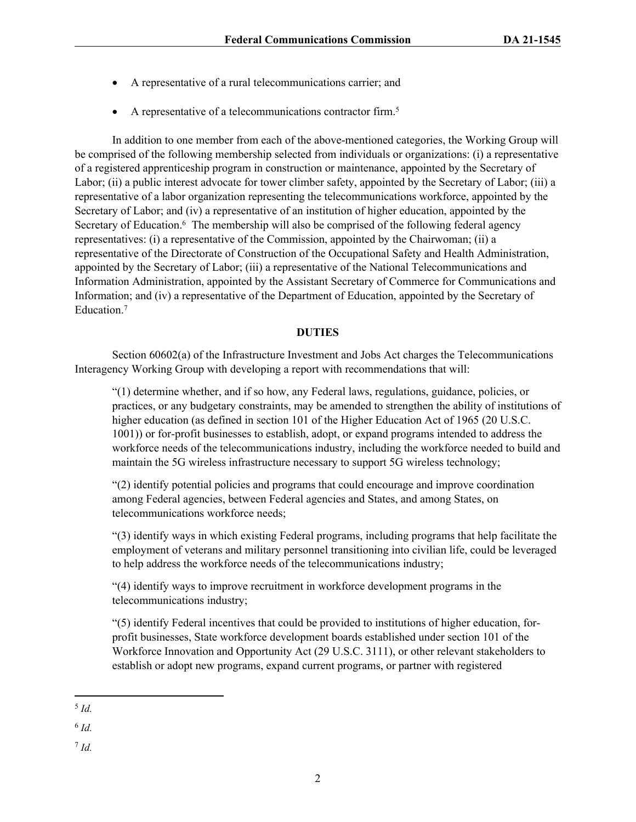- A representative of a rural telecommunications carrier; and
- A representative of a telecommunications contractor firm.<sup>5</sup>

In addition to one member from each of the above-mentioned categories, the Working Group will be comprised of the following membership selected from individuals or organizations: (i) a representative of a registered apprenticeship program in construction or maintenance, appointed by the Secretary of Labor; (ii) a public interest advocate for tower climber safety, appointed by the Secretary of Labor; (iii) a representative of a labor organization representing the telecommunications workforce, appointed by the Secretary of Labor; and (iv) a representative of an institution of higher education, appointed by the Secretary of Education.<sup>6</sup> The membership will also be comprised of the following federal agency representatives: (i) a representative of the Commission, appointed by the Chairwoman; (ii) a representative of the Directorate of Construction of the Occupational Safety and Health Administration, appointed by the Secretary of Labor; (iii) a representative of the National Telecommunications and Information Administration, appointed by the Assistant Secretary of Commerce for Communications and Information; and (iv) a representative of the Department of Education, appointed by the Secretary of Education.<sup>7</sup>

## **DUTIES**

Section 60602(a) of the Infrastructure Investment and Jobs Act charges the Telecommunications Interagency Working Group with developing a report with recommendations that will:

"(1) determine whether, and if so how, any Federal laws, regulations, guidance, policies, or practices, or any budgetary constraints, may be amended to strengthen the ability of institutions of higher education (as defined in section 101 of the Higher Education Act of 1965 (20 U.S.C. 1001)) or for-profit businesses to establish, adopt, or expand programs intended to address the workforce needs of the telecommunications industry, including the workforce needed to build and maintain the 5G wireless infrastructure necessary to support 5G wireless technology;

"(2) identify potential policies and programs that could encourage and improve coordination among Federal agencies, between Federal agencies and States, and among States, on telecommunications workforce needs;

"(3) identify ways in which existing Federal programs, including programs that help facilitate the employment of veterans and military personnel transitioning into civilian life, could be leveraged to help address the workforce needs of the telecommunications industry;

"(4) identify ways to improve recruitment in workforce development programs in the telecommunications industry;

"(5) identify Federal incentives that could be provided to institutions of higher education, forprofit businesses, State workforce development boards established under section 101 of the Workforce Innovation and Opportunity Act (29 U.S.C. 3111), or other relevant stakeholders to establish or adopt new programs, expand current programs, or partner with registered

7 *Id.*

<sup>5</sup> *Id.*

<sup>6</sup> *Id.*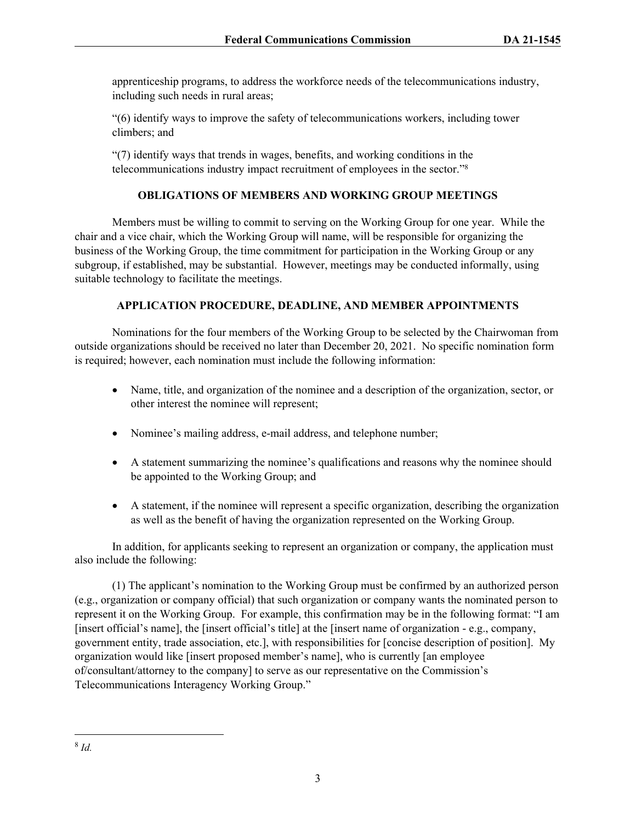apprenticeship programs, to address the workforce needs of the telecommunications industry, including such needs in rural areas;

"(6) identify ways to improve the safety of telecommunications workers, including tower climbers; and

"(7) identify ways that trends in wages, benefits, and working conditions in the telecommunications industry impact recruitment of employees in the sector."<sup>8</sup>

# **OBLIGATIONS OF MEMBERS AND WORKING GROUP MEETINGS**

Members must be willing to commit to serving on the Working Group for one year. While the chair and a vice chair, which the Working Group will name, will be responsible for organizing the business of the Working Group, the time commitment for participation in the Working Group or any subgroup, if established, may be substantial. However, meetings may be conducted informally, using suitable technology to facilitate the meetings.

## **APPLICATION PROCEDURE, DEADLINE, AND MEMBER APPOINTMENTS**

Nominations for the four members of the Working Group to be selected by the Chairwoman from outside organizations should be received no later than December 20, 2021. No specific nomination form is required; however, each nomination must include the following information:

- Name, title, and organization of the nominee and a description of the organization, sector, or other interest the nominee will represent;
- Nominee's mailing address, e-mail address, and telephone number;
- A statement summarizing the nominee's qualifications and reasons why the nominee should be appointed to the Working Group; and
- A statement, if the nominee will represent a specific organization, describing the organization as well as the benefit of having the organization represented on the Working Group.

In addition, for applicants seeking to represent an organization or company, the application must also include the following:

(1) The applicant's nomination to the Working Group must be confirmed by an authorized person (e.g., organization or company official) that such organization or company wants the nominated person to represent it on the Working Group. For example, this confirmation may be in the following format: "I am [insert official's name], the [insert official's title] at the [insert name of organization - e.g., company, government entity, trade association, etc.], with responsibilities for [concise description of position]. My organization would like [insert proposed member's name], who is currently [an employee of/consultant/attorney to the company] to serve as our representative on the Commission's Telecommunications Interagency Working Group."